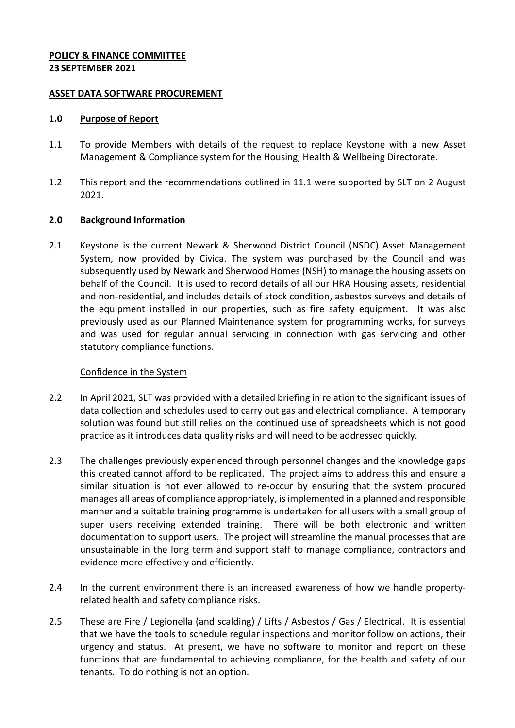#### **POLICY & FINANCE COMMITTEE 23 SEPTEMBER 2021**

#### **ASSET DATA SOFTWARE PROCUREMENT**

#### **1.0 Purpose of Report**

- 1.1 To provide Members with details of the request to replace Keystone with a new Asset Management & Compliance system for the Housing, Health & Wellbeing Directorate.
- 1.2 This report and the recommendations outlined in 11.1 were supported by SLT on 2 August 2021.

## **2.0 Background Information**

2.1 Keystone is the current Newark & Sherwood District Council (NSDC) Asset Management System, now provided by Civica. The system was purchased by the Council and was subsequently used by Newark and Sherwood Homes (NSH) to manage the housing assets on behalf of the Council. It is used to record details of all our HRA Housing assets, residential and non-residential, and includes details of stock condition, asbestos surveys and details of the equipment installed in our properties, such as fire safety equipment. It was also previously used as our Planned Maintenance system for programming works, for surveys and was used for regular annual servicing in connection with gas servicing and other statutory compliance functions.

## Confidence in the System

- 2.2 In April 2021, SLT was provided with a detailed briefing in relation to the significant issues of data collection and schedules used to carry out gas and electrical compliance. A temporary solution was found but still relies on the continued use of spreadsheets which is not good practice as it introduces data quality risks and will need to be addressed quickly.
- 2.3 The challenges previously experienced through personnel changes and the knowledge gaps this created cannot afford to be replicated. The project aims to address this and ensure a similar situation is not ever allowed to re-occur by ensuring that the system procured manages all areas of compliance appropriately, is implemented in a planned and responsible manner and a suitable training programme is undertaken for all users with a small group of super users receiving extended training. There will be both electronic and written documentation to support users. The project will streamline the manual processes that are unsustainable in the long term and support staff to manage compliance, contractors and evidence more effectively and efficiently.
- 2.4 In the current environment there is an increased awareness of how we handle propertyrelated health and safety compliance risks.
- 2.5 These are Fire / Legionella (and scalding) / Lifts / Asbestos / Gas / Electrical. It is essential that we have the tools to schedule regular inspections and monitor follow on actions, their urgency and status. At present, we have no software to monitor and report on these functions that are fundamental to achieving compliance, for the health and safety of our tenants. To do nothing is not an option.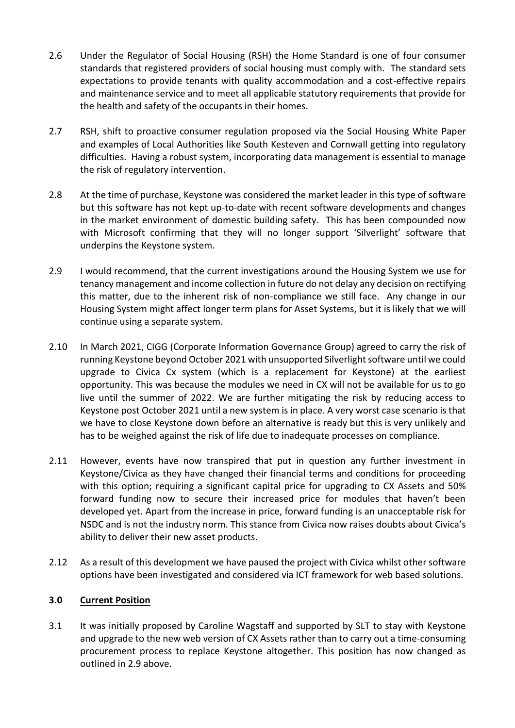- 2.6 Under the Regulator of Social Housing (RSH) the Home Standard is one of four consumer standards that registered providers of social housing must comply with. The standard sets expectations to provide tenants with quality accommodation and a cost-effective repairs and maintenance service and to meet all applicable statutory requirements that provide for the health and safety of the occupants in their homes.
- 2.7 RSH, shift to proactive consumer regulation proposed via the Social Housing White Paper and examples of Local Authorities like South Kesteven and Cornwall getting into regulatory difficulties. Having a robust system, incorporating data management is essential to manage the risk of regulatory intervention.
- 2.8 At the time of purchase, Keystone was considered the market leader in this type of software but this software has not kept up-to-date with recent software developments and changes in the market environment of domestic building safety. This has been compounded now with Microsoft confirming that they will no longer support 'Silverlight' software that underpins the Keystone system.
- 2.9 I would recommend, that the current investigations around the Housing System we use for tenancy management and income collection in future do not delay any decision on rectifying this matter, due to the inherent risk of non-compliance we still face. Any change in our Housing System might affect longer term plans for Asset Systems, but it is likely that we will continue using a separate system.
- 2.10 In March 2021, CIGG (Corporate Information Governance Group) agreed to carry the risk of running Keystone beyond October 2021 with unsupported Silverlight software until we could upgrade to Civica Cx system (which is a replacement for Keystone) at the earliest opportunity. This was because the modules we need in CX will not be available for us to go live until the summer of 2022. We are further mitigating the risk by reducing access to Keystone post October 2021 until a new system is in place. A very worst case scenario is that we have to close Keystone down before an alternative is ready but this is very unlikely and has to be weighed against the risk of life due to inadequate processes on compliance.
- 2.11 However, events have now transpired that put in question any further investment in Keystone/Civica as they have changed their financial terms and conditions for proceeding with this option; requiring a significant capital price for upgrading to CX Assets and 50% forward funding now to secure their increased price for modules that haven't been developed yet. Apart from the increase in price, forward funding is an unacceptable risk for NSDC and is not the industry norm. This stance from Civica now raises doubts about Civica's ability to deliver their new asset products.
- 2.12 As a result of this development we have paused the project with Civica whilst other software options have been investigated and considered via ICT framework for web based solutions.

## **3.0 Current Position**

3.1 It was initially proposed by Caroline Wagstaff and supported by SLT to stay with Keystone and upgrade to the new web version of CX Assets rather than to carry out a time-consuming procurement process to replace Keystone altogether. This position has now changed as outlined in 2.9 above.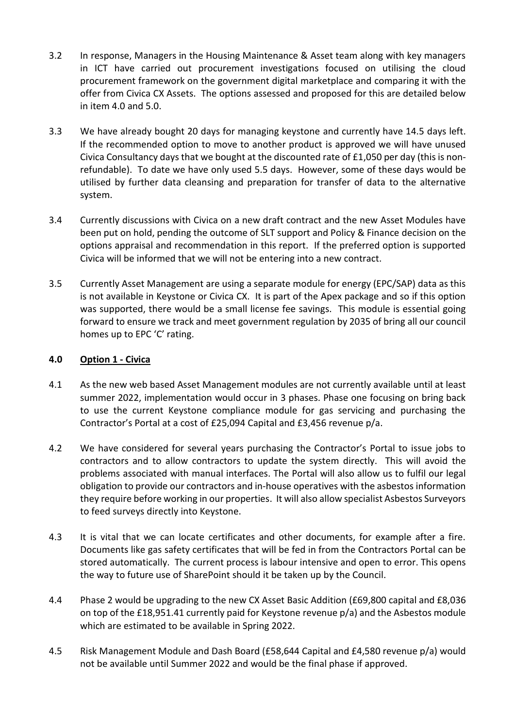- 3.2 In response, Managers in the Housing Maintenance & Asset team along with key managers in ICT have carried out procurement investigations focused on utilising the cloud procurement framework on the government digital marketplace and comparing it with the offer from Civica CX Assets. The options assessed and proposed for this are detailed below in item 4.0 and 5.0.
- 3.3 We have already bought 20 days for managing keystone and currently have 14.5 days left. If the recommended option to move to another product is approved we will have unused Civica Consultancy days that we bought at the discounted rate of £1,050 per day (this is nonrefundable). To date we have only used 5.5 days. However, some of these days would be utilised by further data cleansing and preparation for transfer of data to the alternative system.
- 3.4 Currently discussions with Civica on a new draft contract and the new Asset Modules have been put on hold, pending the outcome of SLT support and Policy & Finance decision on the options appraisal and recommendation in this report. If the preferred option is supported Civica will be informed that we will not be entering into a new contract.
- 3.5 Currently Asset Management are using a separate module for energy (EPC/SAP) data as this is not available in Keystone or Civica CX. It is part of the Apex package and so if this option was supported, there would be a small license fee savings. This module is essential going forward to ensure we track and meet government regulation by 2035 of bring all our council homes up to EPC 'C' rating.

## **4.0 Option 1 - Civica**

- 4.1 As the new web based Asset Management modules are not currently available until at least summer 2022, implementation would occur in 3 phases. Phase one focusing on bring back to use the current Keystone compliance module for gas servicing and purchasing the Contractor's Portal at a cost of £25,094 Capital and £3,456 revenue p/a.
- 4.2 We have considered for several years purchasing the Contractor's Portal to issue jobs to contractors and to allow contractors to update the system directly. This will avoid the problems associated with manual interfaces. The Portal will also allow us to fulfil our legal obligation to provide our contractors and in-house operatives with the asbestos information they require before working in our properties. It will also allow specialist Asbestos Surveyors to feed surveys directly into Keystone.
- 4.3 It is vital that we can locate certificates and other documents, for example after a fire. Documents like gas safety certificates that will be fed in from the Contractors Portal can be stored automatically. The current process is labour intensive and open to error. This opens the way to future use of SharePoint should it be taken up by the Council.
- 4.4 Phase 2 would be upgrading to the new CX Asset Basic Addition (£69,800 capital and £8,036 on top of the £18,951.41 currently paid for Keystone revenue p/a) and the Asbestos module which are estimated to be available in Spring 2022.
- 4.5 Risk Management Module and Dash Board (£58,644 Capital and £4,580 revenue p/a) would not be available until Summer 2022 and would be the final phase if approved.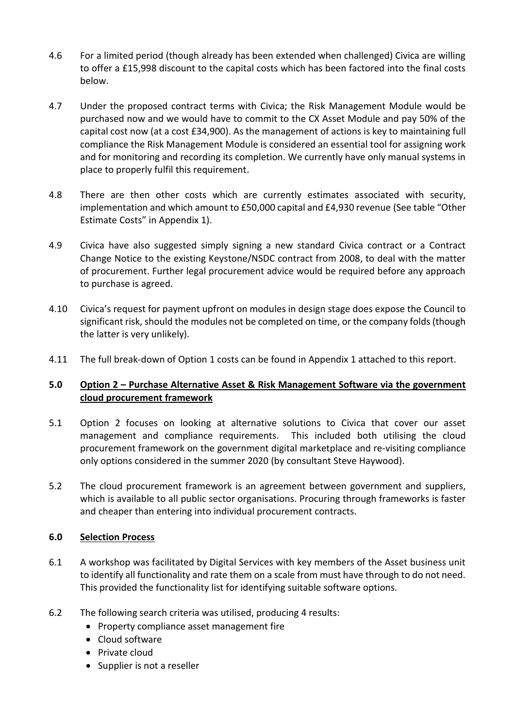- 4.6 For a limited period (though already has been extended when challenged) Civica are willing to offer a £15,998 discount to the capital costs which has been factored into the final costs below.
- 4.7 Under the proposed contract terms with Civica; the Risk Management Module would be purchased now and we would have to commit to the CX Asset Module and pay 50% of the capital cost now (at a cost £34,900). As the management of actions is key to maintaining full compliance the Risk Management Module is considered an essential tool for assigning work and for monitoring and recording its completion. We currently have only manual systems in place to properly fulfil this requirement.
- 4.8 There are then other costs which are currently estimates associated with security, implementation and which amount to £50,000 capital and £4,930 revenue (See table "Other Estimate Costs" in Appendix 1).
- 4.9 Civica have also suggested simply signing a new standard Civica contract or a Contract Change Notice to the existing Keystone/NSDC contract from 2008, to deal with the matter of procurement. Further legal procurement advice would be required before any approach to purchase is agreed.
- 4.10 Civica's request for payment upfront on modules in design stage does expose the Council to significant risk, should the modules not be completed on time, or the company folds (though the latter is very unlikely).
- 4.11 The full break-down of Option 1 costs can be found in Appendix 1 attached to this report.

## **5.0 Option 2 – Purchase Alternative Asset & Risk Management Software via the government cloud procurement framework**

- 5.1 Option 2 focuses on looking at alternative solutions to Civica that cover our asset management and compliance requirements. This included both utilising the cloud procurement framework on the government digital marketplace and re-visiting compliance only options considered in the summer 2020 (by consultant Steve Haywood).
- 5.2 The cloud procurement framework is an agreement between government and suppliers, which is available to all public sector organisations. Procuring through frameworks is faster and cheaper than entering into individual procurement contracts.

## **6.0 Selection Process**

- 6.1 A workshop was facilitated by Digital Services with key members of the Asset business unit to identify all functionality and rate them on a scale from must have through to do not need. This provided the functionality list for identifying suitable software options.
- 6.2 The following search criteria was utilised, producing 4 results:
	- Property compliance asset management fire
	- Cloud software
	- Private cloud
	- Supplier is not a reseller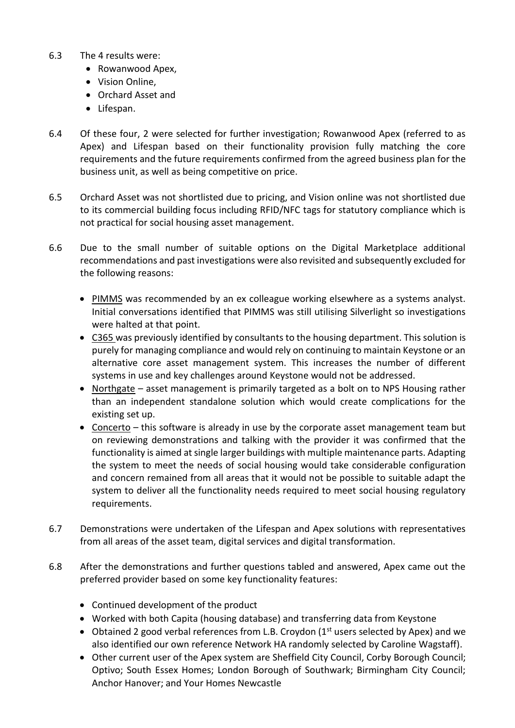- 6.3 The 4 results were:
	- Rowanwood Apex,
	- Vision Online,
	- Orchard Asset and
	- Lifespan.
- 6.4 Of these four, 2 were selected for further investigation; Rowanwood Apex (referred to as Apex) and Lifespan based on their functionality provision fully matching the core requirements and the future requirements confirmed from the agreed business plan for the business unit, as well as being competitive on price.
- 6.5 Orchard Asset was not shortlisted due to pricing, and Vision online was not shortlisted due to its commercial building focus including RFID/NFC tags for statutory compliance which is not practical for social housing asset management.
- 6.6 Due to the small number of suitable options on the Digital Marketplace additional recommendations and past investigations were also revisited and subsequently excluded for the following reasons:
	- PIMMS was recommended by an ex colleague working elsewhere as a systems analyst. Initial conversations identified that PIMMS was still utilising Silverlight so investigations were halted at that point.
	- C365 was previously identified by consultants to the housing department. This solution is purely for managing compliance and would rely on continuing to maintain Keystone or an alternative core asset management system. This increases the number of different systems in use and key challenges around Keystone would not be addressed.
	- Northgate asset management is primarily targeted as a bolt on to NPS Housing rather than an independent standalone solution which would create complications for the existing set up.
	- Concerto this software is already in use by the corporate asset management team but on reviewing demonstrations and talking with the provider it was confirmed that the functionality is aimed at single larger buildings with multiple maintenance parts. Adapting the system to meet the needs of social housing would take considerable configuration and concern remained from all areas that it would not be possible to suitable adapt the system to deliver all the functionality needs required to meet social housing regulatory requirements.
- 6.7 Demonstrations were undertaken of the Lifespan and Apex solutions with representatives from all areas of the asset team, digital services and digital transformation.
- 6.8 After the demonstrations and further questions tabled and answered, Apex came out the preferred provider based on some key functionality features:
	- Continued development of the product
	- Worked with both Capita (housing database) and transferring data from Keystone
	- Obtained 2 good verbal references from L.B. Croydon  $(1<sup>st</sup>$  users selected by Apex) and we also identified our own reference Network HA randomly selected by Caroline Wagstaff).
	- Other current user of the Apex system are Sheffield City Council, Corby Borough Council; Optivo; South Essex Homes; London Borough of Southwark; Birmingham City Council; Anchor Hanover; and Your Homes Newcastle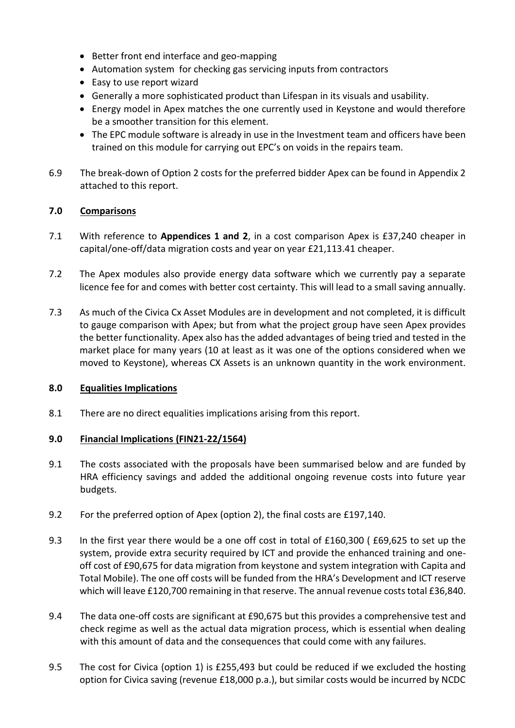- Better front end interface and geo-mapping
- Automation system for checking gas servicing inputs from contractors
- Easy to use report wizard
- Generally a more sophisticated product than Lifespan in its visuals and usability.
- Energy model in Apex matches the one currently used in Keystone and would therefore be a smoother transition for this element.
- The EPC module software is already in use in the Investment team and officers have been trained on this module for carrying out EPC's on voids in the repairs team.
- 6.9 The break-down of Option 2 costs for the preferred bidder Apex can be found in Appendix 2 attached to this report.

## **7.0 Comparisons**

- 7.1 With reference to **Appendices 1 and 2**, in a cost comparison Apex is £37,240 cheaper in capital/one-off/data migration costs and year on year £21,113.41 cheaper.
- 7.2 The Apex modules also provide energy data software which we currently pay a separate licence fee for and comes with better cost certainty. This will lead to a small saving annually.
- 7.3 As much of the Civica Cx Asset Modules are in development and not completed, it is difficult to gauge comparison with Apex; but from what the project group have seen Apex provides the better functionality. Apex also has the added advantages of being tried and tested in the market place for many years (10 at least as it was one of the options considered when we moved to Keystone), whereas CX Assets is an unknown quantity in the work environment.

## **8.0 Equalities Implications**

8.1 There are no direct equalities implications arising from this report.

## **9.0 Financial Implications (FIN21-22/1564)**

- 9.1 The costs associated with the proposals have been summarised below and are funded by HRA efficiency savings and added the additional ongoing revenue costs into future year budgets.
- 9.2 For the preferred option of Apex (option 2), the final costs are £197,140.
- 9.3 In the first year there would be a one off cost in total of £160,300 ( £69,625 to set up the system, provide extra security required by ICT and provide the enhanced training and oneoff cost of £90,675 for data migration from keystone and system integration with Capita and Total Mobile). The one off costs will be funded from the HRA's Development and ICT reserve which will leave £120,700 remaining in that reserve. The annual revenue costs total £36,840.
- 9.4 The data one-off costs are significant at £90,675 but this provides a comprehensive test and check regime as well as the actual data migration process, which is essential when dealing with this amount of data and the consequences that could come with any failures.
- 9.5 The cost for Civica (option 1) is £255,493 but could be reduced if we excluded the hosting option for Civica saving (revenue £18,000 p.a.), but similar costs would be incurred by NCDC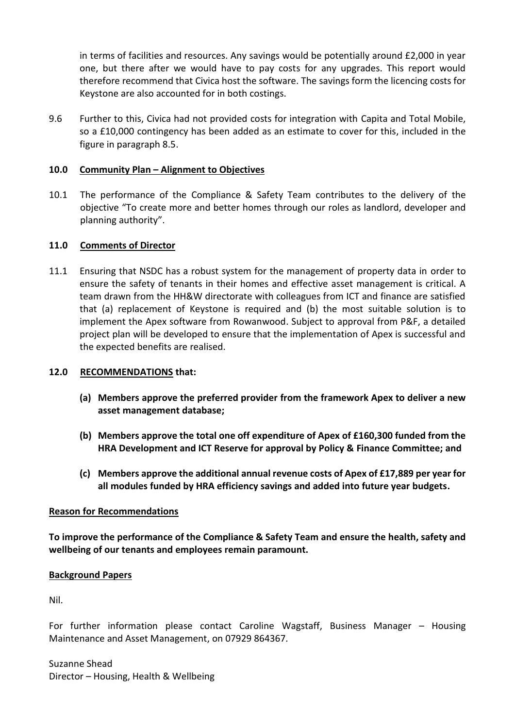in terms of facilities and resources. Any savings would be potentially around £2,000 in year one, but there after we would have to pay costs for any upgrades. This report would therefore recommend that Civica host the software. The savings form the licencing costs for Keystone are also accounted for in both costings.

9.6 Further to this, Civica had not provided costs for integration with Capita and Total Mobile, so a £10,000 contingency has been added as an estimate to cover for this, included in the figure in paragraph 8.5.

#### **10.0 Community Plan – Alignment to Objectives**

10.1 The performance of the Compliance & Safety Team contributes to the delivery of the objective "To create more and better homes through our roles as landlord, developer and planning authority".

#### **11.0 Comments of Director**

11.1 Ensuring that NSDC has a robust system for the management of property data in order to ensure the safety of tenants in their homes and effective asset management is critical. A team drawn from the HH&W directorate with colleagues from ICT and finance are satisfied that (a) replacement of Keystone is required and (b) the most suitable solution is to implement the Apex software from Rowanwood. Subject to approval from P&F, a detailed project plan will be developed to ensure that the implementation of Apex is successful and the expected benefits are realised.

#### **12.0 RECOMMENDATIONS that:**

- **(a) Members approve the preferred provider from the framework Apex to deliver a new asset management database;**
- **(b) Members approve the total one off expenditure of Apex of £160,300 funded from the HRA Development and ICT Reserve for approval by Policy & Finance Committee; and**
- **(c) Members approve the additional annual revenue costs of Apex of £17,889 per year for all modules funded by HRA efficiency savings and added into future year budgets.**

#### **Reason for Recommendations**

**To improve the performance of the Compliance & Safety Team and ensure the health, safety and wellbeing of our tenants and employees remain paramount.**

#### **Background Papers**

Nil.

For further information please contact Caroline Wagstaff, Business Manager – Housing Maintenance and Asset Management, on 07929 864367.

Suzanne Shead Director – Housing, Health & Wellbeing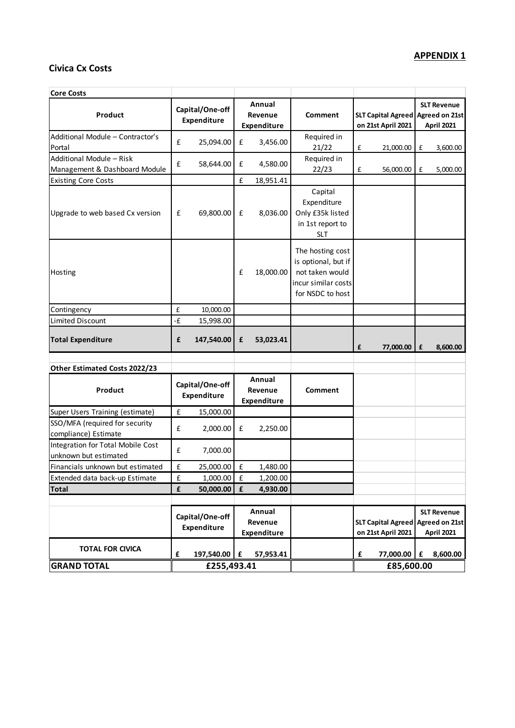# **APPENDIX 1**

# **Civica Cx Costs**

| <b>Core Costs</b>                                          |                                |           |                                         |           |                                                                                                       |                                                         |                                                 |                                         |                                                           |
|------------------------------------------------------------|--------------------------------|-----------|-----------------------------------------|-----------|-------------------------------------------------------------------------------------------------------|---------------------------------------------------------|-------------------------------------------------|-----------------------------------------|-----------------------------------------------------------|
| Product                                                    | Capital/One-off<br>Expenditure |           | Annual<br>Revenue<br>Expenditure        |           | Comment                                                                                               | SLT Capital Agreed Agreed on 21st<br>on 21st April 2021 |                                                 | <b>SLT Revenue</b><br><b>April 2021</b> |                                                           |
| Additional Module - Contractor's<br>Portal                 | £                              | 25,094.00 | £                                       | 3,456.00  | Required in<br>21/22                                                                                  | £                                                       | 21,000.00                                       | $\mathbf f$                             | 3,600.00                                                  |
| Additional Module - Risk<br>Management & Dashboard Module  | £                              | 58,644.00 | £                                       | 4,580.00  | Required in<br>22/23                                                                                  | £                                                       | 56,000.00                                       | £                                       | 5,000.00                                                  |
| <b>Existing Core Costs</b>                                 |                                |           | £                                       | 18,951.41 |                                                                                                       |                                                         |                                                 |                                         |                                                           |
| Upgrade to web based Cx version                            | £                              | 69,800.00 | $\mathbf f$                             | 8,036.00  | Capital<br>Expenditure<br>Only £35k listed<br>in 1st report to<br><b>SLT</b>                          |                                                         |                                                 |                                         |                                                           |
| Hosting                                                    |                                |           | £                                       | 18,000.00 | The hosting cost<br>is optional, but if<br>not taken would<br>incur similar costs<br>for NSDC to host |                                                         |                                                 |                                         |                                                           |
| Contingency                                                | £                              | 10,000.00 |                                         |           |                                                                                                       |                                                         |                                                 |                                         |                                                           |
| <b>Limited Discount</b>                                    | -£                             | 15,998.00 |                                         |           |                                                                                                       |                                                         |                                                 |                                         |                                                           |
| <b>Total Expenditure</b>                                   | £<br>147,540.00                |           | £                                       | 53,023.41 |                                                                                                       | £                                                       | 77,000.00                                       | $\pmb{\mathsf{f}}$                      | 8,600.00                                                  |
| Other Estimated Costs 2022/23                              |                                |           |                                         |           |                                                                                                       |                                                         |                                                 |                                         |                                                           |
| Product                                                    | Capital/One-off<br>Expenditure |           | Annual<br>Revenue<br><b>Expenditure</b> |           | <b>Comment</b>                                                                                        |                                                         |                                                 |                                         |                                                           |
| Super Users Training (estimate)                            | $\pmb{\mathsf{f}}$             | 15,000.00 |                                         |           |                                                                                                       |                                                         |                                                 |                                         |                                                           |
| SSO/MFA (required for security<br>compliance) Estimate     | $\pmb{\mathsf{f}}$             | 2,000.00  | £                                       | 2,250.00  |                                                                                                       |                                                         |                                                 |                                         |                                                           |
| Integration for Total Mobile Cost<br>unknown but estimated | $\pmb{\mathsf{f}}$             | 7,000.00  |                                         |           |                                                                                                       |                                                         |                                                 |                                         |                                                           |
| Financials unknown but estimated                           | $\pmb{\mathsf{f}}$             | 25,000.00 | $\mathbf f$                             | 1,480.00  |                                                                                                       |                                                         |                                                 |                                         |                                                           |
| Extended data back-up Estimate                             | £                              | 1,000.00  | $\mathbf f$                             | 1,200.00  |                                                                                                       |                                                         |                                                 |                                         |                                                           |
| <b>Total</b>                                               | £                              | 50,000.00 | £                                       | 4,930.00  |                                                                                                       |                                                         |                                                 |                                         |                                                           |
|                                                            | Capital/One-off<br>Expenditure |           | Annual<br>Revenue<br><b>Expenditure</b> |           |                                                                                                       |                                                         | <b>SLT Capital Agreed</b><br>on 21st April 2021 |                                         | <b>SLT Revenue</b><br><b>Agreed on 21st</b><br>April 2021 |
| <b>TOTAL FOR CIVICA</b>                                    | £<br>197,540.00                |           | £<br>57,953.41                          |           |                                                                                                       | £                                                       | 77,000.00                                       | £                                       | 8,600.00                                                  |
| <b>GRAND TOTAL</b>                                         | £255,493.41                    |           |                                         |           |                                                                                                       |                                                         | £85,600.00                                      |                                         |                                                           |